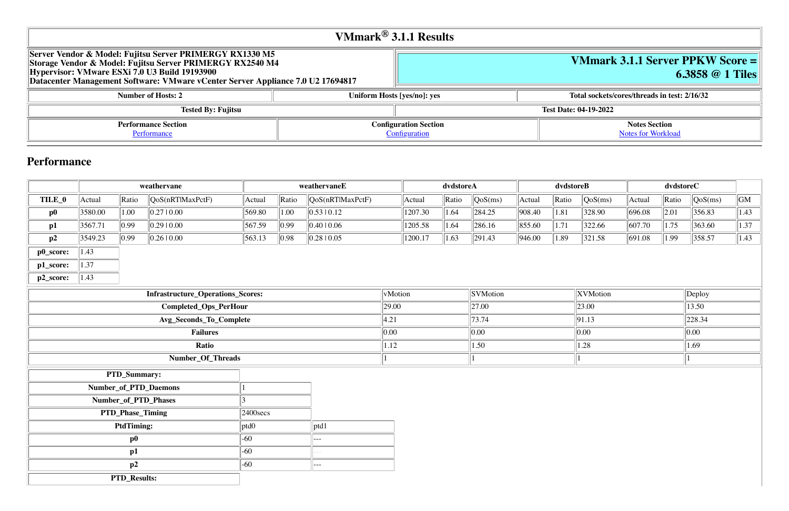# **VMmark 3.1.1 Server PPKW Score = 6.3858 @ 1 Tiles**

**Number 13 instance Sockets/cores/threads in test: 2/16/32** 

**Notes Section** [Notes for Workload](file:///Users/griderr/Documents/ReviewPanel/0419/2022-05-03-VMmark3_Fujitsu_RX1330M5_6.3858_1tiles_serverptd.html#NotesForWorkload)

|                                                                                                                                                                                                                                                           | <b>VMmark</b> <sup>®</sup> 3.1.1 Results |                              |                              |
|-----------------------------------------------------------------------------------------------------------------------------------------------------------------------------------------------------------------------------------------------------------|------------------------------------------|------------------------------|------------------------------|
| Server Vendor & Model: Fujitsu Server PRIMERGY RX1330 M5<br>Storage Vendor & Model: Fujitsu Server PRIMERGY RX2540 M4<br>Hypervisor: VMware ESXi 7.0 U3 Build 19193900<br>Datacenter Management Software: VMware vCenter Server Appliance 7.0 U2 17694817 |                                          |                              | <b>VMmarl</b>                |
| <b>Number of Hosts: 2</b>                                                                                                                                                                                                                                 |                                          | Uniform Hosts [yes/no]: yes  | <b>Total sockets</b>         |
| <b>Tested By: Fujitsu</b>                                                                                                                                                                                                                                 |                                          |                              | <b>Test Date: 04-19-2022</b> |
| <b>Performance Section</b>                                                                                                                                                                                                                                |                                          | <b>Configuration Section</b> |                              |
| Performance                                                                                                                                                                                                                                               |                                          | Configuration                |                              |

## **Performance**

|           |                       |                      | weathervane                              |                      | weathervaneE |                             |         |         | dvdstoreA |                   |        | dvdstoreB |          |                | dvdstoreC |                  |                        |
|-----------|-----------------------|----------------------|------------------------------------------|----------------------|--------------|-----------------------------|---------|---------|-----------|-------------------|--------|-----------|----------|----------------|-----------|------------------|------------------------|
| TILE_0    | Actual                | Ratio                | $\sqrt{QoS(nRTIMaxPctF)}$                | Actual               | Ratio        | $\sqrt{QoS(nRTlMaxPctF)}$   |         | Actual  | Ratio     | QoS(ms)           | Actual | Ratio     | QoS(ms)  | Actual         | Ratio     | $\sqrt{QoS(ms)}$ | $\overline{\text{GM}}$ |
| $\bf p0$  | 3580.00               | 1.00                 | 0.27 0.00                                | 569.80               | 1.00         | $\vert 0.53 \, 10.12 \vert$ |         | 1207.30 | 1.64      | $\ 284.25$        | 908.40 | 1.81      | 328.90   | 696.08         | 2.01      | 356.83           | 1.43                   |
| p1        | 3567.71               | $\vert 0.99 \vert$   | 0.29 0.00                                | 567.59               | $\ 0.99\ $   | $\ 0.40\ 0.06\ $            |         | 1205.58 | 1.64      | 286.16            | 855.60 | 1.71      | 322.66   | $\ 607.70\ $   | 1.75      | 363.60           | 1.37                   |
| p2        | 3549.23               | $\parallel$ 0.99     | 0.26 0.00                                | 563.13               | 0.98         | $\parallel$ 0.28   0.05     |         | 1200.17 | 1.63      | $\ 291.43\ $      | 946.00 | 1.89      | 321.58   | $\  691.08 \ $ | 1.99      | 358.57           | 1.43                   |
| p0_score: | $\vert 1.43 \vert$    |                      |                                          |                      |              |                             |         |         |           |                   |        |           |          |                |           |                  |                        |
| p1_score: | $\vert 1.37 \vert$    |                      |                                          |                      |              |                             |         |         |           |                   |        |           |          |                |           |                  |                        |
| p2_score: | $\parallel$ 1.43      |                      |                                          |                      |              |                             |         |         |           |                   |        |           |          |                |           |                  |                        |
|           |                       |                      | <b>Infrastructure_Operations_Scores:</b> |                      |              |                             | vMotion |         |           | <b>SVMotion</b>   |        |           | XVMotion |                |           | $\ $ Deploy      |                        |
|           | Completed_Ops_PerHour |                      |                                          |                      | 29.00        | 27.00                       |         |         |           | $\parallel$ 23.00 |        |           | 13.50    |                |           |                  |                        |
|           |                       |                      | Avg_Seconds_To_Complete                  |                      |              |                             | 4.21    | 73.74   |           |                   | 91.13  |           |          | $\ 228.34\ $   |           |                  |                        |
|           | <b>Failures</b>       |                      |                                          |                      | 0.00         |                             | 0.00    |         |           | 0.00              |        |           | 0.00     |                |           |                  |                        |
|           | Ratio                 |                      |                                          |                      | 1.12         |                             |         | 1.50    |           |                   | 1.28   |           |          | 1.69           |           |                  |                        |
|           |                       |                      | Number_Of_Threads                        |                      |              |                             |         |         |           |                   |        |           |          |                |           |                  |                        |
|           |                       | PTD_Summary:         |                                          |                      |              |                             |         |         |           |                   |        |           |          |                |           |                  |                        |
|           |                       |                      | Number_of_PTD_Daemons                    |                      |              |                             |         |         |           |                   |        |           |          |                |           |                  |                        |
|           |                       | Number_of_PTD_Phases |                                          |                      |              |                             |         |         |           |                   |        |           |          |                |           |                  |                        |
|           |                       | PTD_Phase_Timing     |                                          | $ 2400 \text{secs} $ |              |                             |         |         |           |                   |        |           |          |                |           |                  |                        |
|           |                       | <b>PtdTiming:</b>    |                                          | ptd0                 |              | ptd1                        |         |         |           |                   |        |           |          |                |           |                  |                        |
|           |                       | $\bf p0$             |                                          | $-60$                |              | ---                         |         |         |           |                   |        |           |          |                |           |                  |                        |
|           |                       | p1                   |                                          | $-60$                |              | $--$                        |         |         |           |                   |        |           |          |                |           |                  |                        |
|           |                       | p2                   |                                          | $-60$                |              | $---$                       |         |         |           |                   |        |           |          |                |           |                  |                        |
|           |                       | <b>PTD_Results:</b>  |                                          |                      |              |                             |         |         |           |                   |        |           |          |                |           |                  |                        |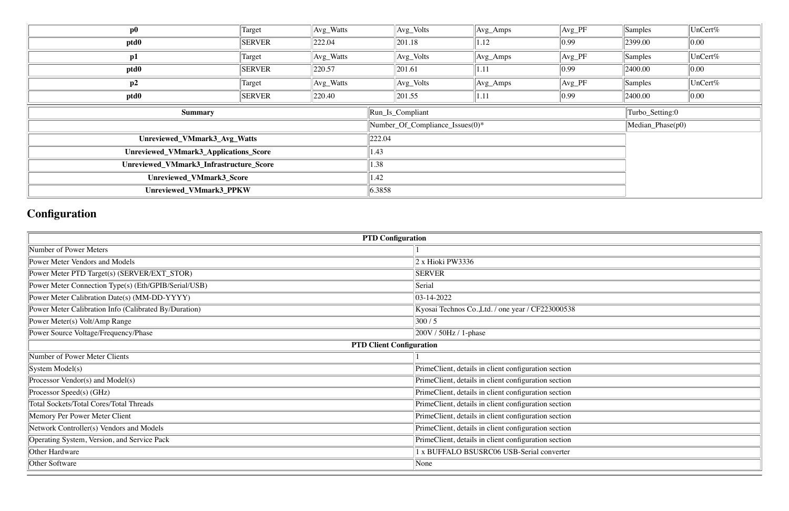| $\bf p0$                                | Target        | $Avg_Watts$       |                                 | $Avg_Volts$ | $\vert$ Avg_Amps | $Avg_PF$       | Samples             | UnCert%         |
|-----------------------------------------|---------------|-------------------|---------------------------------|-------------|------------------|----------------|---------------------|-----------------|
| ptd0                                    | <b>SERVER</b> | $\ 222.04\ $      |                                 | 201.18      | 1.12             | $ 0.99\rangle$ | 2399.00             | 0.00            |
| p1                                      | Target        | $\vert$ Avg_Watts |                                 | $Avg_Volts$ | $\vert$ Avg_Amps | $Avg_PF$       | Samples             | $\vert$ UnCert% |
| ptd0                                    | <b>SERVER</b> | $\ 220.57\ $      |                                 | 201.61      | 1.11             | $ 0.99\rangle$ | 2400.00             | $\ 0.00\ $      |
| p2                                      | Target        | $\vert$ Avg_Watts |                                 | $Avg_Volts$ | $\rm{Avg\_Amps}$ | $Avg_PF$       | Samples             | $\vert$ UnCert% |
| ptd0                                    | <b>SERVER</b> | 220.40            |                                 | 201.55      | 1.11             | $ 0.99\rangle$ | 2400.00             | $\ 0.00\ $      |
| <b>Summary</b>                          |               |                   | Run_Is_Compliant                |             |                  |                | Turbo_Setting:0     |                 |
|                                         |               |                   | Number_Of_Compliance_Issues(0)* |             |                  |                | $Median\_Phase(p0)$ |                 |
| Unreviewed_VMmark3_Avg_Watts            |               |                   | 222.04                          |             |                  |                |                     |                 |
| Unreviewed_VMmark3_Applications_Score   |               |                   | 1.43                            |             |                  |                |                     |                 |
| Unreviewed_VMmark3_Infrastructure_Score |               |                   | 1.38                            |             |                  |                |                     |                 |
| Unreviewed_VMmark3_Score                |               |                   | $\vert 1.42 \vert$              |             |                  |                |                     |                 |
| Unreviewed_VMmark3_PPKW                 |               |                   | 6.3858                          |             |                  |                |                     |                 |

# **Configuration**

| <b>PTD Configuration</b>                              |                                                      |  |  |  |  |  |
|-------------------------------------------------------|------------------------------------------------------|--|--|--|--|--|
| Number of Power Meters                                |                                                      |  |  |  |  |  |
| Power Meter Vendors and Models                        | $2 \times$ Hioki PW3336                              |  |  |  |  |  |
| Power Meter PTD Target(s) (SERVER/EXT_STOR)           | <b>SERVER</b>                                        |  |  |  |  |  |
| Power Meter Connection Type(s) (Eth/GPIB/Serial/USB)  | Serial                                               |  |  |  |  |  |
| Power Meter Calibration Date(s) (MM-DD-YYYY)          | $ 03 - 14 - 2022 $                                   |  |  |  |  |  |
| Power Meter Calibration Info (Calibrated By/Duration) | Kyosai Technos Co., Ltd. / one year / CF223000538    |  |  |  |  |  |
| Power Meter(s) Volt/Amp Range                         | 300/5                                                |  |  |  |  |  |
| Power Source Voltage/Frequency/Phase                  | $ 200V/50Hz/1-phase$                                 |  |  |  |  |  |
|                                                       | <b>PTD Client Configuration</b>                      |  |  |  |  |  |
| Number of Power Meter Clients                         |                                                      |  |  |  |  |  |
| $\left  \text{System Model(s)} \right $               | PrimeClient, details in client configuration section |  |  |  |  |  |
| Processor Vendor(s) and Model(s)                      | PrimeClient, details in client configuration section |  |  |  |  |  |
| Processor Speed(s) (GHz)                              | PrimeClient, details in client configuration section |  |  |  |  |  |
| <b>Total Sockets/Total Cores/Total Threads</b>        | PrimeClient, details in client configuration section |  |  |  |  |  |
| Memory Per Power Meter Client                         | PrimeClient, details in client configuration section |  |  |  |  |  |
| Network Controller(s) Vendors and Models              | PrimeClient, details in client configuration section |  |  |  |  |  |
| Operating System, Version, and Service Pack           | PrimeClient, details in client configuration section |  |  |  |  |  |
| Other Hardware                                        | 1 x BUFFALO BSUSRC06 USB-Serial converter            |  |  |  |  |  |
| Other Software                                        | None                                                 |  |  |  |  |  |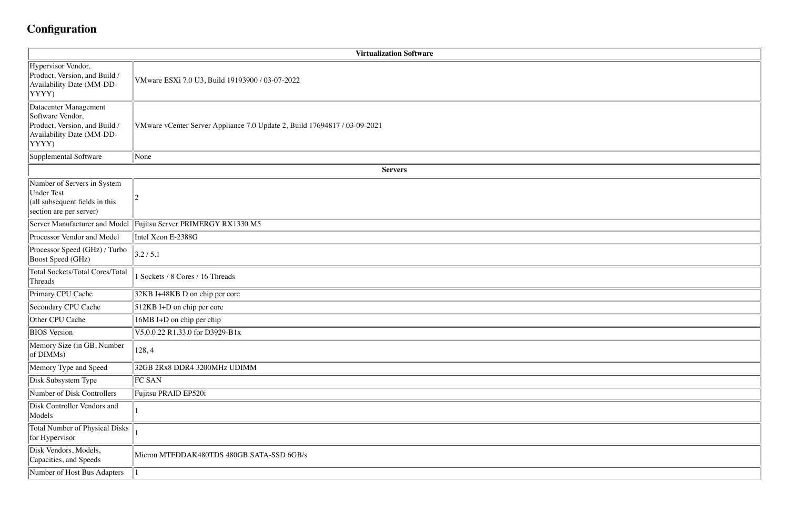# **Configuration**

|                                                                                                                  | <b>Virtualization Software</b>                                            |
|------------------------------------------------------------------------------------------------------------------|---------------------------------------------------------------------------|
| Hypervisor Vendor,<br>Product, Version, and Build /<br>Availability Date (MM-DD-<br>YYYY)                        | VMware ESXi 7.0 U3, Build 19193900 / 03-07-2022                           |
| Datacenter Management<br>Software Vendor,<br>Product, Version, and Build /<br>Availability Date (MM-DD-<br>YYYY) | VMware vCenter Server Appliance 7.0 Update 2, Build 17694817 / 03-09-2021 |
| Supplemental Software                                                                                            | None                                                                      |
|                                                                                                                  | <b>Servers</b>                                                            |
| Number of Servers in System<br>Under Test<br>$\alpha$  (all subsequent fields in this<br>section are per server) |                                                                           |
| Server Manufacturer and Model                                                                                    | Fujitsu Server PRIMERGY RX1330 M5                                         |
| Processor Vendor and Model                                                                                       | Intel Xeon E-2388G                                                        |
| Processor Speed (GHz) / Turbo<br><b>Boost Speed (GHz)</b>                                                        | 3.2 / 5.1                                                                 |
| Total Sockets/Total Cores/Total<br>Threads                                                                       | Sockets / 8 Cores / 16 Threads                                            |
| Primary CPU Cache                                                                                                | 32KB I+48KB D on chip per core                                            |
| Secondary CPU Cache                                                                                              | 512KB I+D on chip per core                                                |
| Other CPU Cache                                                                                                  | 16MB I+D on chip per chip                                                 |
| <b>BIOS</b> Version                                                                                              | V5.0.0.22 R1.33.0 for D3929-B1x                                           |
| Memory Size (in GB, Number<br>$\ $ of DIMMs)                                                                     | 128,4                                                                     |
| Memory Type and Speed                                                                                            | 32GB 2Rx8 DDR4 3200MHz UDIMM                                              |
| Disk Subsystem Type                                                                                              | FC SAN                                                                    |
| Number of Disk Controllers                                                                                       | Fujitsu PRAID EP520i                                                      |
| Disk Controller Vendors and<br>Models                                                                            |                                                                           |
| <b>Total Number of Physical Disks</b><br>for Hypervisor                                                          |                                                                           |
| Disk Vendors, Models,<br>Capacities, and Speeds                                                                  | Micron MTFDDAK480TDS 480GB SATA-SSD 6GB/s                                 |
| Number of Host Bus Adapters                                                                                      |                                                                           |

| <u> 1989 - Johann Stoff, deutscher Stoff, der Stoff, der Stoff, der Stoff, der Stoff, der Stoff, der Stoff, der S</u> |  |
|-----------------------------------------------------------------------------------------------------------------------|--|
|                                                                                                                       |  |
|                                                                                                                       |  |
|                                                                                                                       |  |
|                                                                                                                       |  |
|                                                                                                                       |  |
|                                                                                                                       |  |
|                                                                                                                       |  |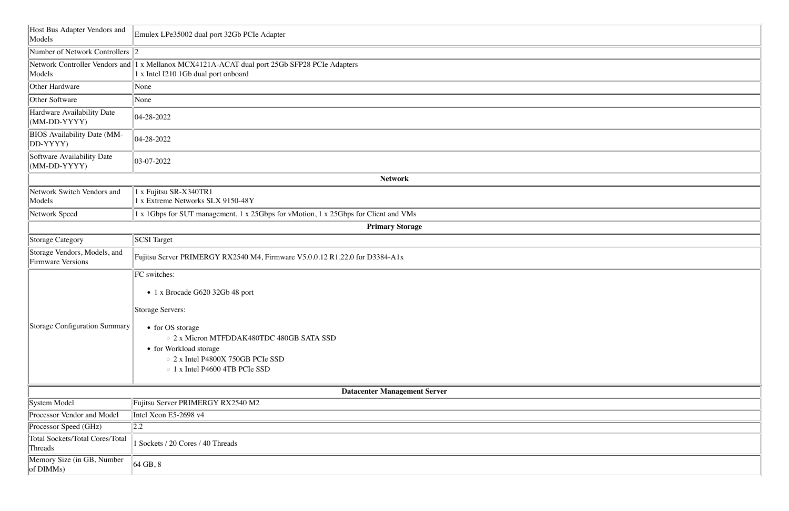| Host Bus Adapter Vendors and<br>Models                   | Emulex LPe35002 dual port 32Gb PCIe Adapter                                                                                          |
|----------------------------------------------------------|--------------------------------------------------------------------------------------------------------------------------------------|
| Number of Network Controllers $\ 2\ $                    |                                                                                                                                      |
| Models                                                   | Network Controller Vendors and 1 x Mellanox MCX4121A-ACAT dual port 25Gb SFP28 PCIe Adapters<br>1 x Intel I210 1Gb dual port onboard |
| Other Hardware                                           | None                                                                                                                                 |
| Other Software                                           | None                                                                                                                                 |
| Hardware Availability Date<br>$(MM-DD-YYYY)$             | 04-28-2022                                                                                                                           |
| <b>BIOS</b> Availability Date (MM-<br>$ DD-YYYY$         | $ 04-28-2022$                                                                                                                        |
| Software Availability Date<br>$(MM-DD-YYYY)$             | $ 03-07-2022$                                                                                                                        |
|                                                          | <b>Network</b>                                                                                                                       |
| Network Switch Vendors and<br>Models                     | 1 x Fujitsu SR-X340TR1<br>1 x Extreme Networks SLX 9150-48Y                                                                          |
| Network Speed                                            | 1 x 1Gbps for SUT management, 1 x 25Gbps for vMotion, 1 x 25Gbps for Client and VMs                                                  |
|                                                          | <b>Primary Storage</b>                                                                                                               |
| Storage Category                                         | <b>SCSI</b> Target                                                                                                                   |
| Storage Vendors, Models, and<br><b>Firmware Versions</b> | Fujitsu Server PRIMERGY RX2540 M4, Firmware V5.0.0.12 R1.22.0 for D3384-A1x                                                          |
|                                                          | FC switches:                                                                                                                         |
|                                                          | • 1 x Brocade G620 32Gb 48 port                                                                                                      |
|                                                          |                                                                                                                                      |
|                                                          | Storage Servers:                                                                                                                     |
| Storage Configuration Summary                            | • for OS storage                                                                                                                     |
|                                                          | ○ 2 x Micron MTFDDAK480TDC 480GB SATA SSD                                                                                            |
|                                                          | • for Workload storage                                                                                                               |
|                                                          | ○ 2 x Intel P4800X 750GB PCIe SSD<br>$\circ$ 1 x Intel P4600 4TB PCIe SSD                                                            |
|                                                          |                                                                                                                                      |
|                                                          | <b>Datacenter Management Server</b>                                                                                                  |
| System Model                                             | Fujitsu Server PRIMERGY RX2540 M2                                                                                                    |
| Processor Vendor and Model                               | Intel Xeon E5-2698 v4                                                                                                                |
| Processor Speed (GHz)                                    | $\ 2.2$                                                                                                                              |
| Total Sockets/Total Cores/Total<br>Threads               | Sockets / 20 Cores / 40 Threads                                                                                                      |
| Memory Size (in GB, Number<br>of $DIMMs)$                | $\vert$ 64 GB, 8                                                                                                                     |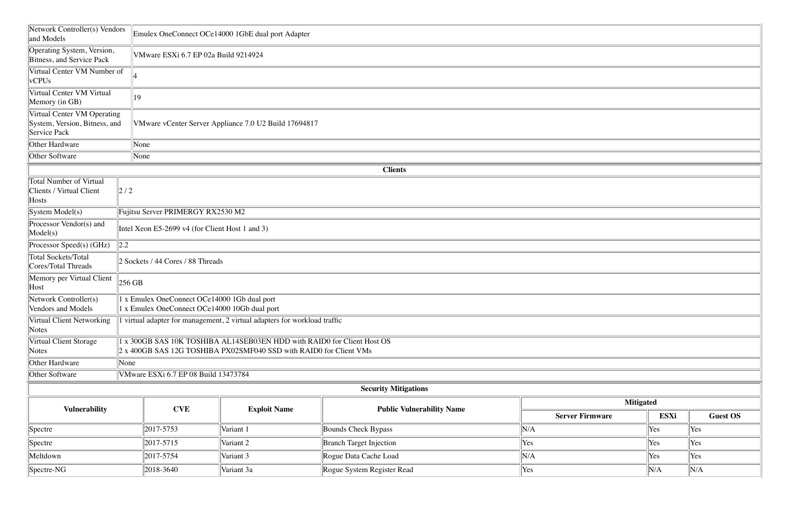| Network Controller(s) Vendors<br>and Models                                  |                                                                                               | Emulex OneConnect OCe14000 1GbE dual port Adapter                                                                                           |                                  |                        |      |                 |  |  |  |  |
|------------------------------------------------------------------------------|-----------------------------------------------------------------------------------------------|---------------------------------------------------------------------------------------------------------------------------------------------|----------------------------------|------------------------|------|-----------------|--|--|--|--|
| Operating System, Version,<br>Bitness, and Service Pack                      |                                                                                               | VMware ESXi 6.7 EP 02a Build 9214924                                                                                                        |                                  |                        |      |                 |  |  |  |  |
| Virtual Center VM Number of<br>$ v$ CPUs                                     |                                                                                               |                                                                                                                                             |                                  |                        |      |                 |  |  |  |  |
| Virtual Center VM Virtual<br>Memory (in GB)                                  | 19                                                                                            |                                                                                                                                             |                                  |                        |      |                 |  |  |  |  |
| Virtual Center VM Operating<br>System, Version, Bitness, and<br>Service Pack |                                                                                               | VMware vCenter Server Appliance 7.0 U2 Build 17694817                                                                                       |                                  |                        |      |                 |  |  |  |  |
| Other Hardware                                                               | None                                                                                          |                                                                                                                                             |                                  |                        |      |                 |  |  |  |  |
| Other Software                                                               | None                                                                                          |                                                                                                                                             |                                  |                        |      |                 |  |  |  |  |
| <b>Clients</b>                                                               |                                                                                               |                                                                                                                                             |                                  |                        |      |                 |  |  |  |  |
| Total Number of Virtual<br>Clients / Virtual Client<br>Hosts                 | $\left 2\right /2$                                                                            |                                                                                                                                             |                                  |                        |      |                 |  |  |  |  |
| $\left  \text{System Model(s)} \right $                                      |                                                                                               | Fujitsu Server PRIMERGY RX2530 M2                                                                                                           |                                  |                        |      |                 |  |  |  |  |
| Processor Vendor(s) and<br>$\text{Model}(s)$                                 |                                                                                               | Intel Xeon E5-2699 v4 (for Client Host 1 and 3)                                                                                             |                                  |                        |      |                 |  |  |  |  |
| Processor Speed(s) $(GHz)$                                                   | 2.2                                                                                           |                                                                                                                                             |                                  |                        |      |                 |  |  |  |  |
| Total Sockets/Total<br>Cores/Total Threads                                   |                                                                                               | 2 Sockets / 44 Cores / 88 Threads                                                                                                           |                                  |                        |      |                 |  |  |  |  |
| Memory per Virtual Client<br>Host                                            | $256$ GB                                                                                      |                                                                                                                                             |                                  |                        |      |                 |  |  |  |  |
| Network Controller(s)<br>Vendors and Models                                  | 1 x Emulex OneConnect OCe14000 1Gb dual port<br>1 x Emulex OneConnect OCe14000 10Gb dual port |                                                                                                                                             |                                  |                        |      |                 |  |  |  |  |
| Virtual Client Networking<br>$\vert$ Notes                                   |                                                                                               | virtual adapter for management, 2 virtual adapters for workload traffic                                                                     |                                  |                        |      |                 |  |  |  |  |
| Virtual Client Storage<br>$\vert$ Notes                                      |                                                                                               | x 300GB SAS 10K TOSHIBA AL14SEB03EN HDD with RAID0 for Client Host OS<br>2 x 400GB SAS 12G TOSHIBA PX02SMF040 SSD with RAID0 for Client VMs |                                  |                        |      |                 |  |  |  |  |
| Other Hardware                                                               | None                                                                                          |                                                                                                                                             |                                  |                        |      |                 |  |  |  |  |
| Other Software                                                               | VMware ESXi 6.7 EP 08 Build 13473784                                                          |                                                                                                                                             |                                  |                        |      |                 |  |  |  |  |
|                                                                              |                                                                                               |                                                                                                                                             | <b>Security Mitigations</b>      |                        |      |                 |  |  |  |  |
|                                                                              |                                                                                               |                                                                                                                                             |                                  | <b>Mitigated</b>       |      |                 |  |  |  |  |
| <b>Vulnerability</b>                                                         | <b>CVE</b>                                                                                    | <b>Exploit Name</b>                                                                                                                         | <b>Public Vulnerability Name</b> | <b>Server Firmware</b> | ESXi | <b>Guest OS</b> |  |  |  |  |
| Spectre                                                                      | 2017-5753                                                                                     | Variant 1                                                                                                                                   | Bounds Check Bypass              | N/A                    | Yes  | Yes             |  |  |  |  |
| Spectre                                                                      | 2017-5715                                                                                     | Variant 2                                                                                                                                   | <b>Branch Target Injection</b>   | Yes                    | Yes  | Yes             |  |  |  |  |
| Meltdown                                                                     | 2017-5754                                                                                     | Variant 3                                                                                                                                   | Rogue Data Cache Load            | N/A                    | Yes  | Yes             |  |  |  |  |
| Spectre-NG                                                                   | 2018-3640                                                                                     | Variant 3a                                                                                                                                  | Rogue System Register Read       | Yes                    | N/A  | N/A             |  |  |  |  |
|                                                                              |                                                                                               |                                                                                                                                             |                                  |                        |      |                 |  |  |  |  |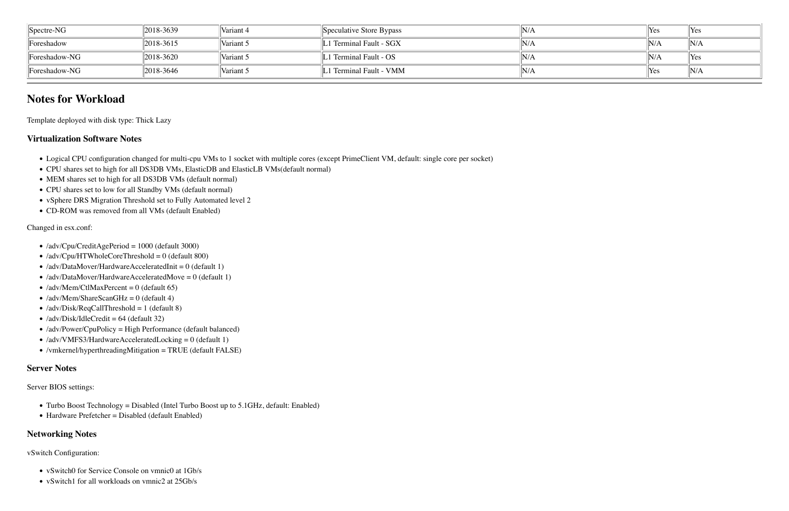| $\parallel$ Spectre-NG        | $12018 - 3639$ | Variant 4 | Speculative Store Bypass | N/A              | <i>Yes</i>   | $\ $ Yes |
|-------------------------------|----------------|-----------|--------------------------|------------------|--------------|----------|
| Foreshadow                    | $12018 - 3615$ | Variant 5 | 1 Terminal Fault - SGX   | $\mathbb{I} N/A$ | N/A          | $\ N/A$  |
| $\sqrt{\text{Foreshadow-NG}}$ | $12018 - 3620$ | Variant 5 | L1 Terminal Fault - OS   | N/A              | N/A          | $\ $ Yes |
| $\sqrt{\text{Foreshadow-NG}}$ | $12018 - 3646$ | Variant 5 | L1 Terminal Fault - VMM  | N/A              | $\gamma$ Yes | N/A      |

- !"Logical CPU configuration changed for multi-cpu VMs to 1 socket with multiple cores (except PrimeClient VM, default: single core per socket)
- !"CPU shares set to high for all DS3DB VMs, ElasticDB and ElasticLB VMs(default normal)
- MEM shares set to high for all DS3DB VMs (default normal)
- CPU shares set to low for all Standby VMs (default normal)
- vSphere DRS Migration Threshold set to Fully Automated level 2
- CD-ROM was removed from all VMs (default Enabled)

### **Notes for Workload**

Template deployed with disk type: Thick Lazy

#### **Virtualization Software Notes**

Changed in esx.conf:

- /adv/Cpu/CreditAgePeriod = 1000 (default 3000)
- $\bullet$  /adv/Cpu/HTWholeCoreThreshold = 0 (default 800)
- $\bullet$  /adv/DataMover/HardwareAcceleratedInit = 0 (default 1)
- $\bullet$  /adv/DataMover/HardwareAcceleratedMove = 0 (default 1)
- $\bullet$  /adv/Mem/CtlMaxPercent = 0 (default 65)
- $\bullet$  /adv/Mem/ShareScanGHz = 0 (default 4)
- $\bullet$  /adv/Disk/ReqCallThreshold = 1 (default 8)
- $\bullet$  /adv/Disk/IdleCredit = 64 (default 32)
- /adv/Power/CpuPolicy = High Performance (default balanced)
- /adv/VMFS3/HardwareAcceleratedLocking = 0 (default 1)
- /vmkernel/hyperthreadingMitigation = TRUE (default FALSE)

#### **Server Notes**

Server BIOS settings:

- Turbo Boost Technology = Disabled (Intel Turbo Boost up to  $5.1\text{GHz}$ , default: Enabled)
- Hardware Prefetcher = Disabled (default Enabled)

#### **Networking Notes**

vSwitch Configuration:

- vSwitch0 for Service Console on vmnic0 at 1Gb/s
- vSwitch1 for all workloads on vmnic2 at 25Gb/s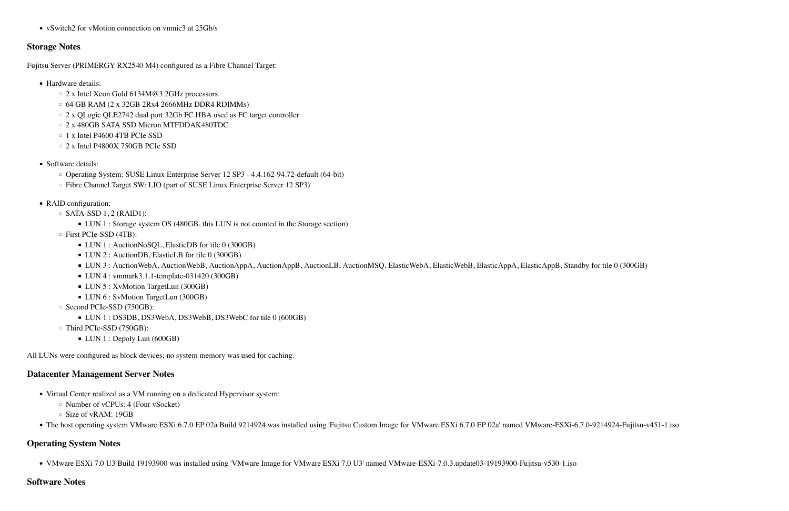• vSwitch2 for vMotion connection on vmnic3 at 25Gb/s

#### **Storage Notes**

Fujitsu Server (PRIMERGY RX2540 M4) configured as a Fibre Channel Target:

- Hardware details:
	- 2 x Intel Xeon Gold 6134M@3.2GHz processors
	- $\circ$  64 GB RAM (2 x 32GB 2Rx4 2666MHz DDR4 RDIMMs)
	- 2 x QLogic QLE2742 dual port 32Gb FC HBA used as FC target controller
	- o 2 x 480GB SATA SSD Micron MTFDDAK480TDC
	- $\circ$  1 x Intel P4600 4TB PCIe SSD
	- 2 x Intel P4800X 750GB PCIe SSD
- Software details:
	- Operating System: SUSE Linux Enterprise Server 12 SP3 4.4.162-94.72-default (64-bit)
	- $\circ$  Fibre Channel Target SW: LIO (part of SUSE Linux Enterprise Server 12 SP3)
- RAID configuration:
	- $\circ$  SATA-SSD 1, 2 (RAID1):
		- LUN 1 : Storage system OS (480GB, this LUN is not counted in the Storage section)
	- $\circ$  First PCIe-SSD (4TB):
		- LUN 1 : AuctionNoSQL, ElasticDB for tile 0 (300GB)
		- LUN 2 : AuctionDB, ElasticLB for tile 0 (300GB)
		- LUN 3: AuctionWebA, AuctionWebB, AuctionAppA, AuctionAppB, AuctionLB, AuctionMSQ, ElasticWebA, ElasticWebB, ElasticAppA, ElasticAppB, Standby for tile 0 (300GB)
		- $\blacksquare$  LUN 4 : vmmark3.1.1-template-031420 (300GB)
		- LUN 5 : XvMotion TargetLun (300GB)
		- LUN 6 : SvMotion TargetLun (300GB)
	- Second PCIe-SSD (750GB):
		- LUN 1 : DS3DB, DS3WebA, DS3WebB, DS3WebC for tile 0 (600GB)
	- $\circ$  Third PCIe-SSD (750GB):
		- LUN 1 : Depoly Lun (600GB)

All LUNs were configured as block devices; no system memory was used for caching.

#### **Datacenter Management Server Notes**

- Virtual Center realized as a VM running on a dedicated Hypervisor system:
	- $\circ$  Number of vCPUs: 4 (Four vSocket)
	- $\circ$  Size of vRAM: 19GB
- The host operating system VMware ESXi 6.7.0 EP 02a Build 9214924 was installed using 'Fujitsu Custom Image for VMware ESXi 6.7.0 EP 02a' named VMware-ESXi-6.7.0-9214924-Fujitsu-v451-1.iso

#### **Operating System Notes**

• VMware ESXi 7.0 U3 Build 19193900 was installed using 'VMware Image for VMware ESXi 7.0 U3' named VMware-ESXi-7.0.3.update03-19193900-Fujitsu-v530-1.iso

#### **Software Notes**